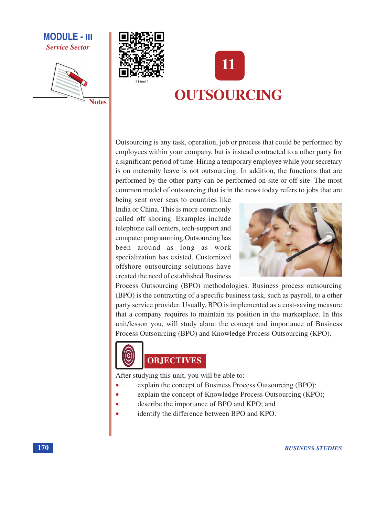# **MODULE - III Service Sector**







Outsourcing is any task, operation, job or process that could be performed by employees within your company, but is instead contracted to a other party for a significant period of time. Hiring a temporary employee while your secretary is on maternity leave is not outsourcing. In addition, the functions that are performed by the other party can be performed on-site or off-site. The most common model of outsourcing that is in the news today refers to jobs that are

being sent over seas to countries like India or China. This is more commonly called off shoring. Examples include telephone call centers, tech-support and computer programming. Outsourcing has been around as long as work specialization has existed. Customized offshore outsourcing solutions have created the need of established Business



Process Outsourcing (BPO) methodologies. Business process outsourcing (BPO) is the contracting of a specific business task, such as payroll, to a other party service provider. Usually, BPO is implemented as a cost-saving measure that a company requires to maintain its position in the marketplace. In this unit/lesson you, will study about the concept and importance of Business Process Outsourcing (BPO) and Knowledge Process Outsourcing (KPO).



# **OBJECTIVES**

After studying this unit, you will be able to:

- explain the concept of Business Process Outsourcing (BPO);
- explain the concept of Knowledge Process Outsourcing (KPO);
- describe the importance of BPO and KPO; and
- identify the difference between BPO and KPO.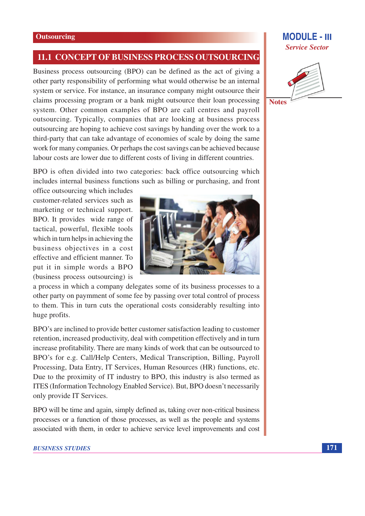### 11.1 CONCEPT OF BUSINESS PROCESS OUTSOURCING

Business process outsourcing (BPO) can be defined as the act of giving a other party responsibility of performing what would otherwise be an internal system or service. For instance, an insurance company might outsource their claims processing program or a bank might outsource their loan processing system. Other common examples of BPO are call centres and payroll outsourcing. Typically, companies that are looking at business process outsourcing are hoping to achieve cost savings by handing over the work to a third-party that can take advantage of economies of scale by doing the same work for many companies. Or perhaps the cost savings can be achieved because labour costs are lower due to different costs of living in different countries.

BPO is often divided into two categories: back office outsourcing which includes internal business functions such as billing or purchasing, and front

office outsourcing which includes customer-related services such as marketing or technical support. BPO. It provides wide range of tactical, powerful, flexible tools which in turn helps in achieving the business objectives in a cost effective and efficient manner. To put it in simple words a BPO (business process outsourcing) is



a process in which a company delegates some of its business processes to a other party on paymment of some fee by passing over total control of process to them. This in turn cuts the operational costs considerably resulting into huge profits.

BPO's are inclined to provide better customer satisfaction leading to customer retention, increased productivity, deal with competition effectively and in turn increase profitability. There are many kinds of work that can be outsourced to BPO's for e.g. Call/Help Centers, Medical Transcription, Billing, Payroll Processing, Data Entry, IT Services, Human Resources (HR) functions, etc. Due to the proximity of IT industry to BPO, this industry is also termed as ITES (Information Technology Enabled Service). But, BPO doesn't necessarily only provide IT Services.

BPO will be time and again, simply defined as, taking over non-critical business processes or a function of those processes, as well as the people and systems associated with them, in order to achieve service level improvements and cost

#### **BUSINESS STUDIES**

# **Service Sector**

**MODULE - III** 



**Notes**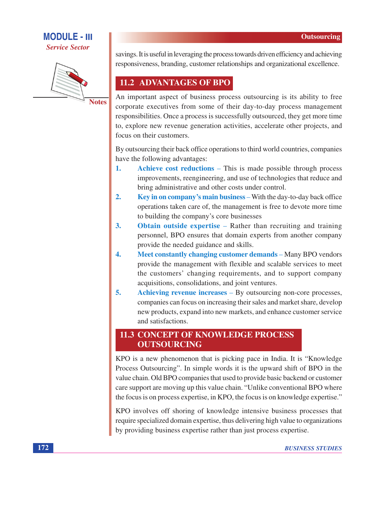# **MODULE - III Service Sector**



**Notes** 

savings. It is useful in leveraging the process towards driven efficiency and achieving responsiveness, branding, customer relationships and organizational excellence.

# 11.2 ADVANTAGES OF BPO

An important aspect of business process outsourcing is its ability to free corporate executives from some of their day-to-day process management responsibilities. Once a process is successfully outsourced, they get more time to, explore new revenue generation activities, accelerate other projects, and focus on their customers.

By outsourcing their back office operations to third world countries, companies have the following advantages:

- Achieve cost reductions This is made possible through process 1. improvements, reengineering, and use of technologies that reduce and bring administrative and other costs under control.
- $2.$ Key in on company's main business – With the day-to-day back office operations taken care of, the management is free to devote more time to building the company's core businesses
- $\mathbf{3}$ **Obtain outside expertise** – Rather than recruiting and training personnel, BPO ensures that domain experts from another company provide the needed guidance and skills.
- $\overline{4}$ . **Meet constantly changing customer demands** – Many BPO vendors provide the management with flexible and scalable services to meet the customers' changing requirements, and to support company acquisitions, consolidations, and joint ventures.
- $\overline{5}$ . Achieving revenue increases – By outsourcing non-core processes, companies can focus on increasing their sales and market share, develop new products, expand into new markets, and enhance customer service and satisfactions.

# **11.3 CONCEPT OF KNOWLEDGE PROCESS OUTSOURCING**

KPO is a new phenomenon that is picking pace in India. It is "Knowledge" Process Outsourcing". In simple words it is the upward shift of BPO in the value chain. Old BPO companies that used to provide basic backend or customer care support are moving up this value chain. "Unlike conventional BPO where the focus is on process expertise, in KPO, the focus is on knowledge expertise."

KPO involves off shoring of knowledge intensive business processes that require specialized domain expertise, thus delivering high value to organizations by providing business expertise rather than just process expertise.

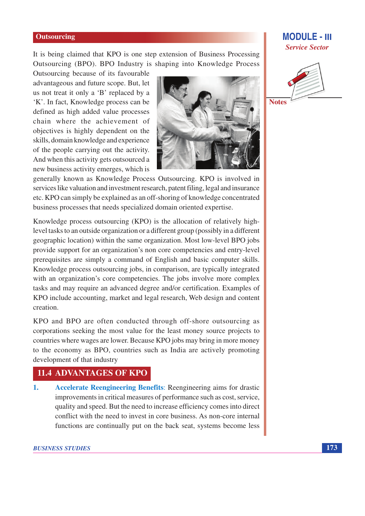It is being claimed that KPO is one step extension of Business Processing Outsourcing (BPO). BPO Industry is shaping into Knowledge Process

Outsourcing because of its favourable advantageous and future scope. But, let us not treat it only a 'B' replaced by a 'K'. In fact, Knowledge process can be defined as high added value processes chain where the achievement of objectives is highly dependent on the skills, domain knowledge and experience of the people carrying out the activity. And when this activity gets outsourced a new business activity emerges, which is



**MODULE - III** 

**Service Sector** 

**Notes** 

generally known as Knowledge Process Outsourcing. KPO is involved in services like valuation and investment research, patent filing, legal and insurance etc. KPO can simply be explained as an off-shoring of knowledge concentrated business processes that needs specialized domain oriented expertise.

Knowledge process outsourcing (KPO) is the allocation of relatively highlevel tasks to an outside organization or a different group (possibly in a different geographic location) within the same organization. Most low-level BPO jobs provide support for an organization's non core competencies and entry-level prerequisites are simply a command of English and basic computer skills. Knowledge process outsourcing jobs, in comparison, are typically integrated with an organization's core competencies. The jobs involve more complex tasks and may require an advanced degree and/or certification. Examples of KPO include accounting, market and legal research, Web design and content creation.

KPO and BPO are often conducted through off-shore outsourcing as corporations seeking the most value for the least money source projects to countries where wages are lower. Because KPO jobs may bring in more money to the economy as BPO, countries such as India are actively promoting development of that industry

# **11.4 ADVANTAGES OF KPO**

**Accelerate Reengineering Benefits: Reengineering aims for drastic**  $\mathbf{1}$ . improvements in critical measures of performance such as cost, service, quality and speed. But the need to increase efficiency comes into direct conflict with the need to invest in core business. As non-core internal functions are continually put on the back seat, systems become less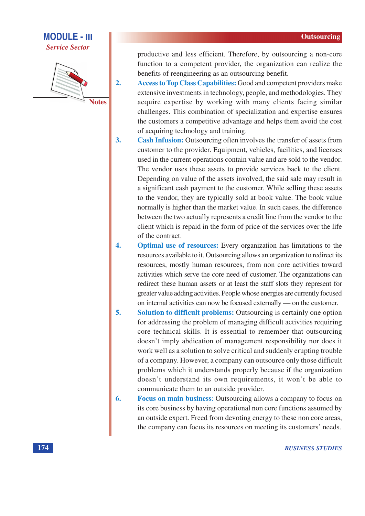# **MODULE - III Service Sector**



 $2.$ 

productive and less efficient. Therefore, by outsourcing a non-core function to a competent provider, the organization can realize the benefits of reengineering as an outsourcing benefit.

- Access to Top Class Capabilities: Good and competent providers make extensive investments in technology, people, and methodologies. They acquire expertise by working with many clients facing similar challenges. This combination of specialization and expertise ensures the customers a competitive advantage and helps them avoid the cost of acquiring technology and training.
- $3.$ Cash Infusion: Outsourcing often involves the transfer of assets from customer to the provider. Equipment, vehicles, facilities, and licenses used in the current operations contain value and are sold to the vendor. The vendor uses these assets to provide services back to the client. Depending on value of the assets involved, the said sale may result in a significant cash payment to the customer. While selling these assets to the vendor, they are typically sold at book value. The book value normally is higher than the market value. In such cases, the difference between the two actually represents a credit line from the vendor to the client which is repaid in the form of price of the services over the life of the contract.
- $\overline{4}$ . **Optimal use of resources:** Every organization has limitations to the resources available to it. Outsourcing allows an organization to redirect its resources, mostly human resources, from non core activities toward activities which serve the core need of customer. The organizations can redirect these human assets or at least the staff slots they represent for greater value adding activities. People whose energies are currently focused on internal activities can now be focused externally — on the customer.
- $\overline{5}$ . **Solution to difficult problems:** Outsourcing is certainly one option for addressing the problem of managing difficult activities requiring core technical skills. It is essential to remember that outsourcing doesn't imply abdication of management responsibility nor does it work well as a solution to solve critical and suddenly erupting trouble of a company. However, a company can outsource only those difficult problems which it understands properly because if the organization doesn't understand its own requirements, it won't be able to communicate them to an outside provider.
- 6. Focus on main business: Outsourcing allows a company to focus on its core business by having operational non core functions assumed by an outside expert. Freed from devoting energy to these non core areas, the company can focus its resources on meeting its customers' needs.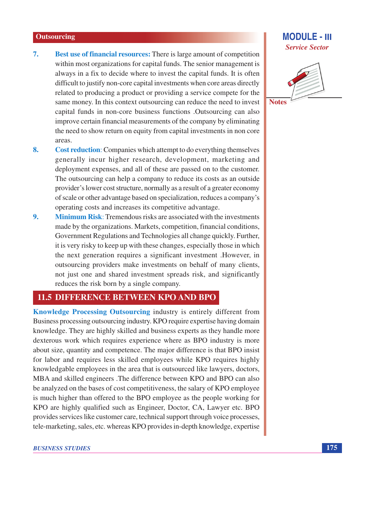- $7.$ **Best use of financial resources:** There is large amount of competition within most organizations for capital funds. The senior management is always in a fix to decide where to invest the capital funds. It is often difficult to justify non-core capital investments when core areas directly related to producing a product or providing a service compete for the same money. In this context outsourcing can reduce the need to invest capital funds in non-core business functions .Outsourcing can also improve certain financial measurements of the company by eliminating the need to show return on equity from capital investments in non core areas.
- 8. Cost reduction: Companies which attempt to do everything themselves generally incur higher research, development, marketing and deployment expenses, and all of these are passed on to the customer. The outsourcing can help a company to reduce its costs as an outside provider's lower cost structure, normally as a result of a greater economy of scale or other advantage based on specialization, reduces a company's operating costs and increases its competitive advantage.
- Minimum Risk: Tremendous risks are associated with the investments 9. made by the organizations. Markets, competition, financial conditions, Government Regulations and Technologies all change quickly. Further, it is very risky to keep up with these changes, especially those in which the next generation requires a significant investment .However, in outsourcing providers make investments on behalf of many clients, not just one and shared investment spreads risk, and significantly reduces the risk born by a single company.

## **11.5 DIFFERENCE BETWEEN KPO AND BPO**

Knowledge Processing Outsourcing industry is entirely different from Business processing outsourcing industry. KPO require expertise having domain knowledge. They are highly skilled and business experts as they handle more dexterous work which requires experience where as BPO industry is more about size, quantity and competence. The major difference is that BPO insist for labor and requires less skilled employees while KPO requires highly knowledgable employees in the area that is outsourced like lawyers, doctors, MBA and skilled engineers .The difference between KPO and BPO can also be analyzed on the bases of cost competitiveness, the salary of KPO employee is much higher than offered to the BPO employee as the people working for KPO are highly qualified such as Engineer, Doctor, CA, Lawyer etc. BPO provides services like customer care, technical support through voice processes, tele-marketing, sales, etc. whereas KPO provides in-depth knowledge, expertise

# **MODULE - III Service Sector**



**Notes**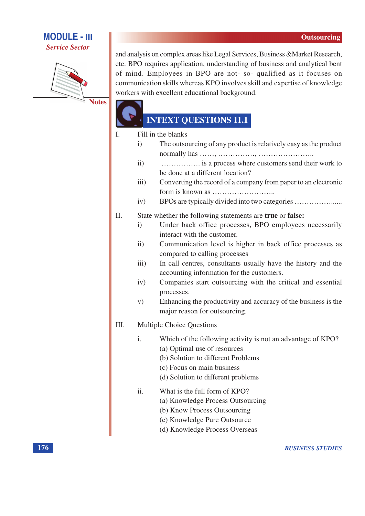# **MODULE - III**

**Service Sector** 



and analysis on complex areas like Legal Services, Business & Market Research, etc. BPO requires application, understanding of business and analytical bent of mind. Employees in BPO are not- so- qualified as it focuses on communication skills whereas KPO involves skill and expertise of knowledge workers with excellent educational background.

# **INTEXT QUESTIONS 11.1**

 $\mathbf{L}$ Fill in the blanks

- $i)$ The outsourcing of any product is relatively easy as the product
- $ii)$ ................. is a process where customers send their work to be done at a different location?
- Converting the record of a company from paper to an electronic  $iii)$
- $iv)$ BPOs are typically divided into two categories ..................................
- II. State whether the following statements are true or false:
	- Under back office processes, BPO employees necessarily  $\mathbf{i}$ interact with the customer.
	- Communication level is higher in back office processes as  $ii)$ compared to calling processes
	- In call centres, consultants usually have the history and the  $iii)$ accounting information for the customers.
	- $iv)$ Companies start outsourcing with the critical and essential processes.
	- Enhancing the productivity and accuracy of the business is the  $V)$ major reason for outsourcing.

#### III. **Multiple Choice Questions**

- Which of the following activity is not an advantage of KPO?  $\mathbf{i}$ . (a) Optimal use of resources
	- (b) Solution to different Problems
	- (c) Focus on main business
	- (d) Solution to different problems
- ii. What is the full form of KPO?
	- (a) Knowledge Process Outsourcing
	- (b) Know Process Outsourcing
	- (c) Knowledge Pure Outsource
	- (d) Knowledge Process Overseas

176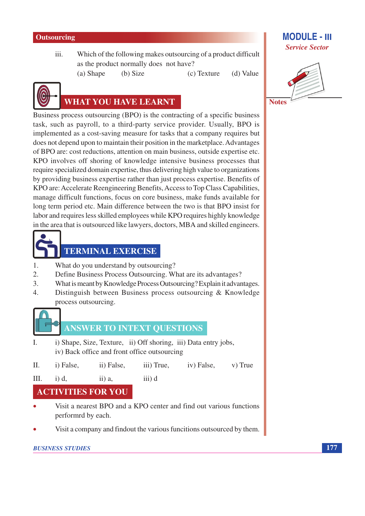$iii.$ Which of the following makes outsourcing of a product difficult as the product normally does not have?

> (a) Shape  $(b) Size$

(c) Texture (d) Value



# **WHAT YOU HAVE LEARNT**

Business process outsourcing (BPO) is the contracting of a specific business task, such as payroll, to a third-party service provider. Usually, BPO is implemented as a cost-saving measure for tasks that a company requires but does not depend upon to maintain their position in the marketplace. Advantages of BPO are: cost reductions, attention on main business, outside expertise etc. KPO involves off shoring of knowledge intensive business processes that require specialized domain expertise, thus delivering high value to organizations by providing business expertise rather than just process expertise. Benefits of KPO are: Accelerate Reengineering Benefits, Access to Top Class Capabilities, manage difficult functions, focus on core business, make funds available for long term period etc. Main difference between the two is that BPO insist for labor and requires less skilled employees while KPO requires highly knowledge in the area that is outsourced like lawyers, doctors, MBA and skilled engineers.



# **TERMINAL EXERCISE**

- What do you understand by outsourcing? 1.
- $\overline{2}$ . Define Business Process Outsourcing. What are its advantages?
- $\overline{3}$ . What is meant by Knowledge Process Outsourcing? Explain it advantages.
- Distinguish between Business process outsourcing & Knowledge  $\overline{4}$ process outsourcing.



# **ANSWER TO INTEXT QUESTIONS**

- $\mathbf{I}$ . i) Shape, Size, Texture, ii) Off shoring, iii) Data entry jobs, iv) Back office and front office outsourcing
- $\Pi$ . i) False, ii) False, iii) True, iv) False, v) True  $III.$  $i) d,$  $ii) a$ , iii) d

**ACTIVITIES FOR YOU** 

- Visit a nearest BPO and a KPO center and find out various functions performrd by each.
- Visit a company and findout the various funcitions outsourced by them.

# **BUSINESS STUDIES**

# **MODULE - III Service Sector**